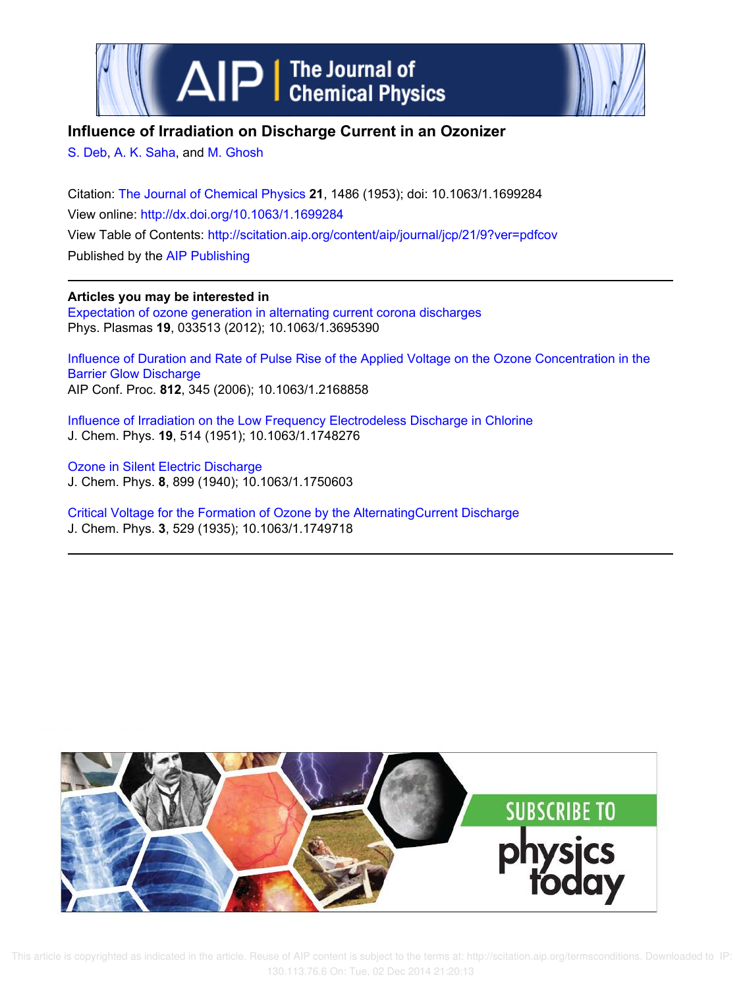



# **Influence of Irradiation on Discharge Current in an Ozonizer**

S. Deb, A. K. Saha, and M. Ghosh

Citation: The Journal of Chemical Physics **21**, 1486 (1953); doi: 10.1063/1.1699284 View online: http://dx.doi.org/10.1063/1.1699284 View Table of Contents: http://scitation.aip.org/content/aip/journal/jcp/21/9?ver=pdfcov Published by the AIP Publishing

**Articles you may be interested in** Expectation of ozone generation in alternating current corona discharges Phys. Plasmas **19**, 033513 (2012); 10.1063/1.3695390

Influence of Duration and Rate of Pulse Rise of the Applied Voltage on the Ozone Concentration in the Barrier Glow Discharge AIP Conf. Proc. **812**, 345 (2006); 10.1063/1.2168858

Influence of Irradiation on the Low Frequency Electrodeless Discharge in Chlorine J. Chem. Phys. **19**, 514 (1951); 10.1063/1.1748276

Ozone in Silent Electric Discharge J. Chem. Phys. **8**, 899 (1940); 10.1063/1.1750603

Critical Voltage for the Formation of Ozone by the AlternatingCurrent Discharge J. Chem. Phys. **3**, 529 (1935); 10.1063/1.1749718



 This article is copyrighted as indicated in the article. Reuse of AIP content is subject to the terms at: http://scitation.aip.org/termsconditions. Downloaded to IP: 130.113.76.6 On: Tue, 02 Dec 2014 21:20:13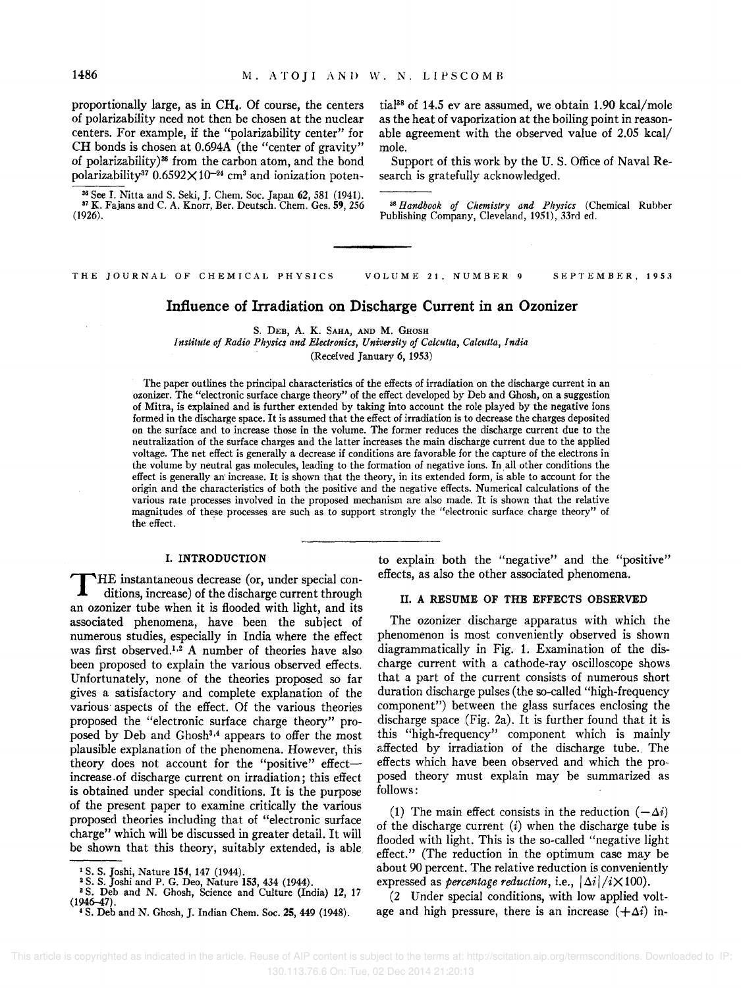proportionally large, as in  $CH<sub>4</sub>$ . Of course, the centers of polarizability need not then be chosen at the nuclear centers. For example, if the "polarizability center" for CH bonds is chosen at 0.694A (the "center of gravity" of polarizability)<sup>36</sup> from the carbon atom, and the bond polarizability<sup>37</sup> 0.6592 $\times$ 10<sup>-24</sup> cm<sup>3</sup> and ionization poten-

<sup>36</sup> See I. Nitta and S. Seki, J. Chem. Soc. Japan **62**, 581 (1941).<br><sup>37</sup> K. Fajans and C. A. Knorr, Ber. Deutsch. Chem. Ges. **59**, 256 (1926).

tial<sup>38</sup> of 14.5 ev are assumed, we obtain 1.90 kcal/mole as the heat of vaporization at the boiling point in reasonable agreement with the observed value of 2.05 kcal/ mole.

Support of this work by the U. S. Office of Naval Research is gratefully acknowledged.

<sup>38</sup>*Handbook of Chemistry and Physics* (Chemical Rubber Publishing Company, Cleveland, 1951), 33rd ed.

THE JOURNAL OF CHEMICAL PHVSICS

VOLUME 21. NUMBER 9 SEPTEMBER. 1953

# **Influence of Irradiation on Discharge Current in an Ozonizer**

S. DEB, A. K. SAHA, AND M. GHOSH *Institute of Radio Physics and Electronics, University of Calcutta, Calcutta, India*  (Received January 6, 1953)

The paper outlines the principal characteristics of the effects of irradiation on the discharge current in an ozonizer. The "electronic surface charge theory" of the effect developed by Deb and Ghosh, on a suggestion of Mitra, is explained and is further extended by taking into account the role played by the negative ions formed in the discharge space. It is assumed that the effect of irradiation is to decrease the charges deposited on the surface and to increase those in the volume. The former reduces the discharge current due to the neutralization of the surface charges and the latter increases the main discharge current due to the applied voltage. The net effect is generally a decrease if conditions are favorable for the capture of the electrons in the volume by neutral gas molecules, leading to the formation of negative ions. In all other conditions the effect is generally an increase. It is shown that the theory, in its extended form, is able to account for the origin and the characteristics of both the positive and the negative effects. Numerical calculations of the various rate processes involved in the proposed mechanism are also made. It is shown that the relative magnitudes of these processes are such as to support strongly the "electronic surface charge theory" of the effect.

### I. INTRODUCTION

 $\mathbf T$ HE instantaneous decrease (or, under special conditions, increase) of the discharge current through an ozonizer tube when it is flooded with light, and its associated phenomena, have been the subiect of numerous studies, especially in India where the effect was first observed.<sup>1,2</sup> A number of theories have also been proposed to explain the various observed effects. Unfortunately, none of the theories proposed so far gives a satisfactory and complete explanation of the various' aspects of the effect. Of the various theories proposed the "electronic surface charge theory" proposed by Deb and Ghosh<sup>3,4</sup> appears to offer the most plausible explanation of the phenomena. However, this theory does not account for the "positive" effectincrease .of discharge current on irradiation j this effect is obtained under special conditions. It is the purpose of the present paper to examine critically the various proposed theories including that of "electronic surface charge" which will be discussed in greater detail. It will be shown that this theory, suitably extended, is able

to explain both the "negative" and the "positive" effects, as also the other associated phenomena.

#### II. A RESUME OF THE EFFECTS OBSERVED

The ozonizer discharge apparatus with which the phenomenon is most conveniently observed is shown diagrammatically in Fig. 1. Examination of the discharge current with a cathode-ray oscilloscope shows that a part of the current consists of numerous short duration discharge pulses (the so-called "high-frequency component") between the glass surfaces enclosing the discharge space (Fig. 2a). It is further found that it is this "high-frequency" component which is mainly affected by irradiation of the discharge tube. The effects which have been observed and which the proposed theory must explain may be summarized as follows:

(1) The main effect consists in the reduction  $(-\Delta i)$ of the discharge current  $(i)$  when the discharge tube is flooded with light. This is the so-called "negative light effect." (The reduction in the optimum case may be about 90 percent. The relative reduction is conveniently expressed as *percentage reduction*, i.e.,  $|\Delta i| / i \times 100$ .

(2 Under special conditions, with low applied voltage and high pressure, there is an increase  $(+\Delta i)$  in-

<sup>&</sup>lt;sup>1</sup> S. S. Joshi, Nature 154, 147 (1944).

<sup>2</sup>S. S. Joshi and P. G. Deo, Nature 153, 434 (1944). a S. Deb and N. Ghosh, Science and Culture (India) 12, 17 (1946-47).

<sup>•</sup> S. Deb and N. Ghosh, J. Indian Chern. Soc. 25, 449 (1948).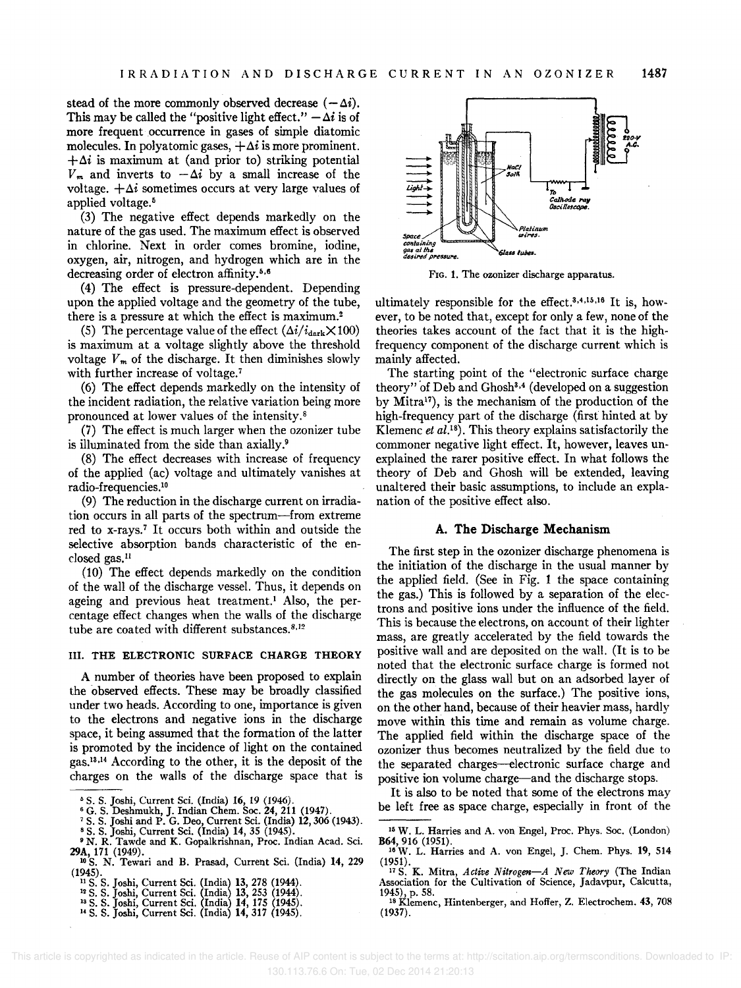stead of the more commonly observed decrease  $(-\Delta i)$ . This may be called the "positive light effect."  $-\Delta i$  is of more frequent occurrence in gases of simple diatomic molecules. In polyatomic gases,  $+\Delta i$  is more prominent.  $+\Delta i$  is maximum at (and prior to) striking potential  $V_m$  and inverts to  $-\Delta i$  by a small increase of the voltage.  $+\Delta i$  sometimes occurs at very large values of applied voltage.<sup>5</sup>

(3) The negative effect depends markedly on the nature of the gas used. The maximum effect is observed in chlorine. Next in order comes bromine, iodine, oxygen, air, nitrogen, and hydrogen which are in the decreasing order of electron affinity.<sup>5,6</sup>

(4) The effect is pressure-dependent. Depending upon the applied voltage and the geometry of the tube, there is a pressure at which the effect is maximum.<sup>2</sup>

(5) The percentage value of the effect  $(\Delta i / i_{\text{dark}} \times 100)$ is maximum at a voltage slightly above the threshold voltage  $V_m$  of the discharge. It then diminishes slowly with further increase of voltage.7

(6) The effect depends markedly on the intensity of the incident radiation, the relative variation being more pronounced at lower values of the intensity.<sup>8</sup>

(7) The effect is much larger when the ozonizer tube is illuminated from the side than axially.9

(8) The effect decreases with increase of frequency of the applied (ac) voltage and ultimately vanishes at radio-frequencies.10

(9) The reduction in the discharge current on irradiation occurs in all parts of the spectrum-from extreme red to x-rays.7 It occurs both within and outside the selective absorption bands characteristic of the enclosed gas. $^{11}$ 

(10) The effect depends markedly on the condition of the wall of the discharge vessel. Thus, it depends on ageing and previous heat treatment.<sup>1</sup> Also, the percentage effect changes when the walls of the discharge tube are coated with different substances.<sup>8,12</sup>

### III. THE ELECTRONIC SURFACE CHARGE THEORY

A number of theories have been proposed to explain the observed effects. These may be broadly classified under two heads. According to one, importance is given to the electrons and negative ions in the discharge space, it being assumed that the formation of the latter is promoted by the incidence of light on the contained gas.I3 . I4 According to the other, it is the deposit of the charges on the walls of the discharge space that is

<sup>11</sup> S. S. Joshi, Current Sci. (India) 13, 278 (1944).<br><sup>12</sup> S. S. Joshi, Current Sci. (India) 13, 253 (1944).<br><sup>13</sup> S. S. Joshi, Current Sci. (India) 14, 317 (1945).<br><sup>14</sup> S. S. Joshi, Current Sci. (India) 14, 317 (1945).



FIG. 1. The ozonizer discharge apparatus.

ultimately responsible for the effect.3.4.16.16 It is, however, to be noted that, except for only a few, none of the theories takes account of the fact that it is the highfrequency component of the discharge current which is mainly affected.

The starting point of the "electronic surface charge theory" of Deb and Ghosh<sup>3,4</sup> (developed on a suggestion by Mitra<sup>17</sup>), is the mechanism of the production of the high-frequency part of the discharge (first hinted at by Klemenc *et al.*<sup>18</sup>). This theory explains satisfactorily the commoner negative light effect. It, however, leaves unexplained the rarer positive effect. In what follows the theory of Deb and Ghosh will be extended, leaving unaltered their basic assumptions, to include an explanation of the positive effect also.

### A. The Discharge Mechanism

The first step in the ozonizer discharge phenomena is the initiation of the discharge in the usual manner by the applied field. (See in Fig. 1 the space containing the gas.) This is followed by a separation of the electrons and positive ions under the influence of the field. This is because the electrons, on account of their lighter mass, are greatly accelerated by the field towards the positive wall and are deposited on the wall. (It is to be noted that the electronic surface charge is formed not directly on the glass wall but on an adsorbed layer of the gas molecules on the surface.) The positive ions, on the other hand, because of their heavier mass, hardly move within this time and remain as volume charge. The applied field within the discharge space of the ozonizer thus becomes neutralized by the field due to the separated charges--electronic surface charge and positive ion volume charge-and the discharge stops.

It is also to be noted that some of the electrons may be left free as space charge, especially in front of the

<sup>•</sup> S. S. Joshi, Current Sci. (India) 16, 19 (1946).

<sup>6</sup>G. S. Deshrnukh, J. Indian Chern. Soc. 24, 211 (1947). <sup>7</sup>S. S. Joshi and P. G. Deo, Current Sci. (India) 12,306 (1943). <sup>8</sup>S. S. Joshi, Current Sci. (India) 14, 35 (1945).

<sup>9</sup>N. R. Tawde and K. Gopalkrishnan, Proc. Indian Acad. Sci.

<sup>29</sup>A, 171 (1949). <sup>10</sup> S. N. Tewari and B. Prasad, Current Sci. (India) 14, 229

<sup>(1945).</sup> 

<sup>16</sup>W. L. Harries and A. von Engel, Proc. Phys. Soc. (London) B64, 916 (1951). <sup>16</sup>W. L. Harries and A. von Engel, J. Chern. Phys. 19, 514

<sup>(1951).</sup> 

<sup>17</sup>S. K. Mitra, *Active Nitrogen-A New Theory* (The Indian Association for the Cultivation of Science, Jadavpur, Calcutta, 1945), p. 58. .

<sup>&</sup>lt;sup>18</sup> Klemenc, Hintenberger, and Hoffer, Z. Electrochem. 43, 708 (1937).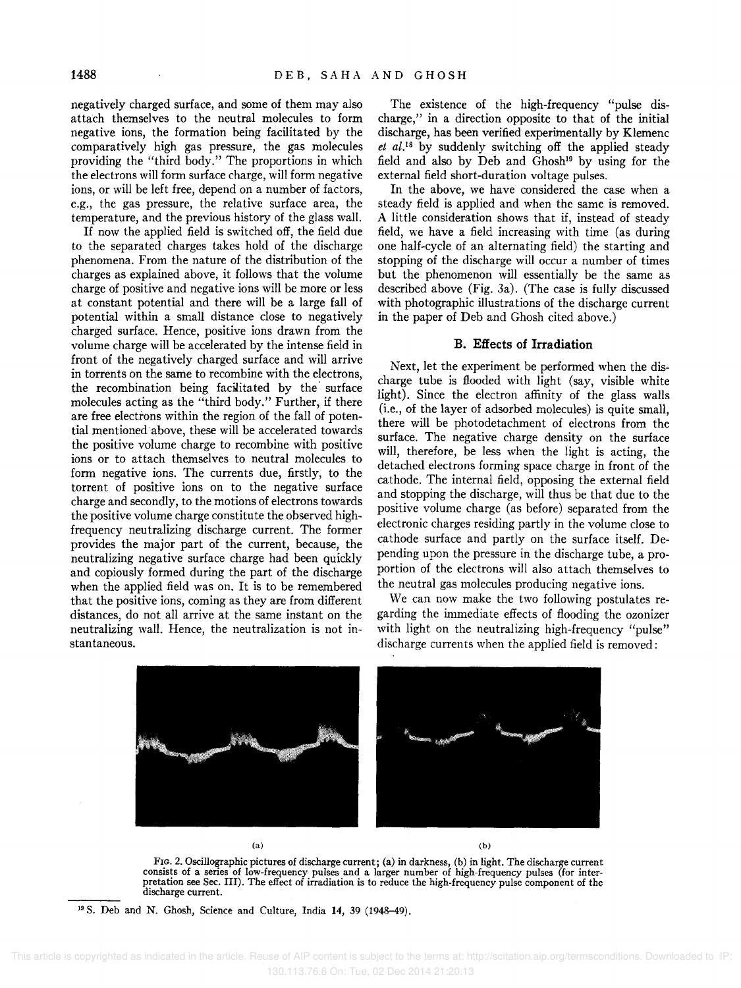negatively charged surface, and some of them may also attach themselves to the neutral molecules to form negative ions, the formation being facilitated by the comparatively high gas pressure, the gas molecules providing the "third body." The proportions in which the electrons will form surface charge, will form negative ions, or will be left free, depend on a number of factors, e.g., the gas pressure, the relative surface area, the temperature, and the previous history of the glass wall.

If now the applied field is switched off, the field due to the separated charges takes hold of the discharge phenomena. From the nature of the distribution of the charges as explained above, it follows that the volume charge of positive and negative ions will be more or less at constant potential and there will be a large fall of potential within a small distance close to negatively charged surface. Hence, positive ions drawn from the volume charge will be accelerated by the intense field in front of the negatively charged surface and will arrive in torrents on the same to recombine with the electrons, the recombination being facilitated by the surface molecules acting as the "third body." Further, if there are free electrons within the region of the fall of potential mentioned above, these will be accelerated towards the positive volume charge to recombine with positive ions or to attach themselves to neutral molecules to form negative ions. The currents due, firstly, to the torrent of positive ions on to the negative surface charge and secondly, to the motions of electrons towards the positive volume charge constitute the observed highfrequency neutralizing discharge current. The former provides the major part of the current, because, the neutralizing negative surface charge had been quickly and copiously formed during the part of the discharge when the applied field was on. It is to be remembered that the positive ions, coming as they are from different distances, do not all arrive at the same instant on the neutralizing wall. Hence, the neutralization is not instantaneous.

The existence of the high-frequency "pulse discharge," in a direction opposite to that of the initial discharge, has been verified experimentally by Klemenc *et al.*<sup>18</sup> by suddenly switching off the applied steady field and also by Deb and Ghosh<sup>19</sup> by using for the external field short-duration voltage pulses.

In the above, we have considered the case when a steady field is applied and when the same is removed. A little consideration shows that if, instead of steady field, we have a field increasing with time (as during one half-cycle of an alternating field) the starting and stopping of the discharge will occur a number of times but the phenomenon will essentially be the same as described above (Fig. 3a). (The case is fully discussed with photographic illustrations of the discharge current in the paper of Deb and Ghosh cited above.)

# **B. Effects of Irradiation**

Next, let the experiment be performed when the discharge tube is flooded with light (say, visible white light). Since the electron affinity of the glass walls (i.e., of the layer of adsorbed molecules) is quite small, there will be photodetachment of electrons from the surface. The negative charge density on the surface will, therefore, be less when the light is acting, the detached electrons forming space charge in front of the cathode. The internal field, opposing the external field and stopping the discharge, will thus be that due to the positive volume charge (as before) separated from the electronic charges residing partly in the volume close to cathode surface and partly on the surface itself. Depending upon the pressure in the discharge tube, a proportion of the electrons will also attach themselves to the neutral gas molecules producing negative ions.

We can now make the two following postulates regarding the immediate effects of flooding the ozonizer with light on the neutralizing high-frequency "pulse" discharge currents when the applied field is removed:



FIG. 2. Oscillographic pictures of discharge current; (a) in darkness, (b) in light. The discharge current consists of a series of low-frequency pulses and a larger number of high-frequency pulses (for interpretation see Sec. III). The effect of irradiation is to reduce the high-frequency pulse component of the discharge current.

<sup>19</sup>S. Deb and N. Ghosh, Science and Culture, India 14, 39 (1948-49).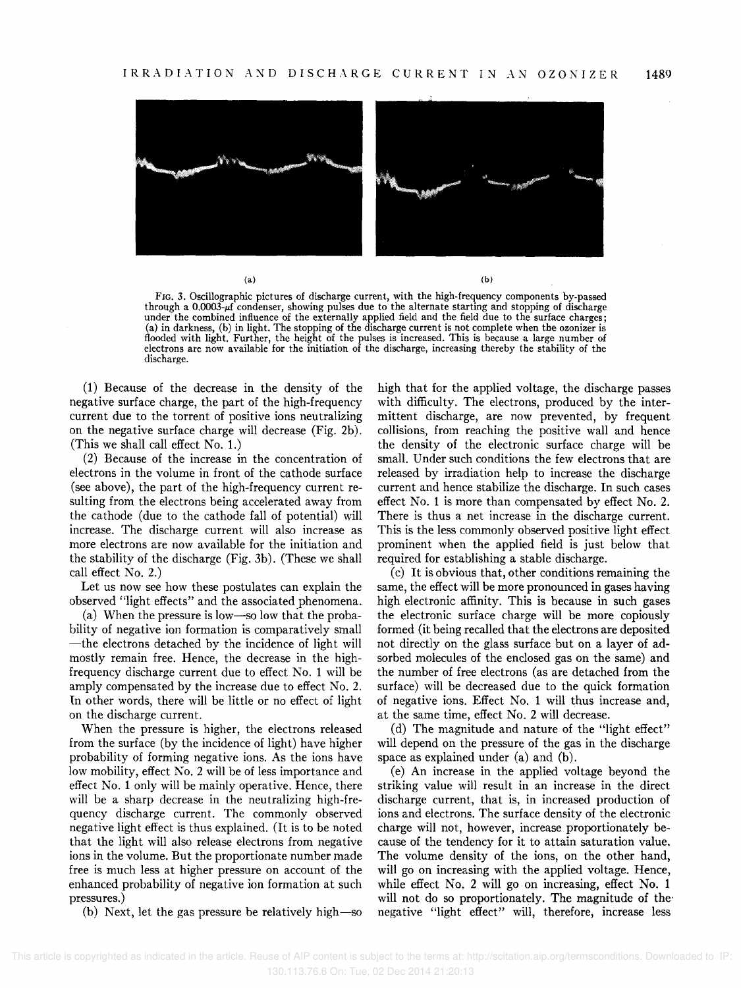

 $(a)$  (b)

FIG. 3. Oscillographic pictures of discharge current, with the high-frequency components by-passed through a 0.0003- $\mu$ f condenser, showing pulses due to the alternate starting and stopping of discharge under the combined influence of the externally applied field and the field due to the surface charges; (a) in darkness, (b) in light. The stopping of the discharge current is not complete when the ozonizer is flooded with light. Further, the height of the pulses is increased. This is because a large number of electrons are now available for the initiation of the discharge, increasing thereby the stability of the discharge.

(1) Because of the decrease in the density of the negative surface charge, the part of the high-frequency current due to the torrent of positive ions neutralizing on the negative surface charge will decrease (Fig. 2b). (This we shall call effect *No.1.)* 

(2) Because of the increase in the concentration of electrons in the volume in front of the cathode surface (see above), the part of the high-frequency current resulting from the electrons being accelerated away from the cathode (due to the cathode fall of potential) will increase. The discharge current will also increase as more electrons are now available for the initiation and the stability of the discharge (Fig. 3b). (These we shall call effect *No.2.)* 

Let us now see how these postulates can explain the observed "light effects" and the associated phenomena.

(a) When the pressure is low-so low that the probability of negative ion formation is comparatively small -the electrons detached by the incidence of light will mostly remain free. Hence, the decrease in the highfrequency discharge current due to effect No.1 will be amply compensated by the increase due to effect *No.2.*  Tn other words, there will be little or no effect of light on the discharge current.

When the pressure is higher, the electrons released from the surface (by the incidence of light) have higher probability of forming negative ions. As the ions have low mobility, effect No.2 will be of less importance and effect *No.1* only will be mainly operative. Hence, there will be a sharp decrease in the neutralizing high-frequency discharge current. The commonly observed negative light effect is thus explained. (It is to be noted that the light will also release electrons from negative ions in the volume. But the proportionate number made free is much less at higher pressure on account of the enhanced probability of negative ion formation at such pressures. )

(b) Next, let the gas pressure be relatively high—so

high that for the applied voltage, the discharge passes with difficulty. The electrons, produced by the intermittent discharge, are now prevented, by frequent collisions, from reaching the positive wall and hence the density of the electronic surface charge will be small. Under such conditions the few electrons that are released by irradiation help to increase the discharge current and hence stabilize the discharge. In such cases effect *No.1* is more than compensated by effect *No.2.*  There is thus a net increase in the discharge current. This is the less commonly observed positive light effect prominent when the applied field is just below that required for establishing a stable discharge.

(c) It is obvious that, other conditions remaining the same, the effect will be more pronounced in gases having high electronic affinity. This is because in such gases the electronic surface charge will be more copiously formed (it being recalled that the electrons are deposited not directly on the glass surface but on a layer of adsorbed molecules of the enclosed gas on the same) and the number of free electrons (as are detached from the surface) will be decreased due to the quick formation of negative ions. Effect No.1 will thus increase and, at the same time, effect *No.2* will decrease.

(d) The magnitude and nature of the "light effect" will depend on the pressure of the gas in the discharge space as explained under (a) and (b).

(e) An increase in the applied voltage beyond the striking value will result in an increase in the direct discharge current, that is, in increased production of ions and electrons. The surface density of the electronic charge will not, however, increase proportionately because of the tendency for it to attain saturation value. The volume density of the ions, on the other hand, will go on increasing with the applied voltage. Hence, while effect No.2 will go on increasing, effect No.1 will not do so proportionately. The magnitude of thenegative "light effect" will, therefore, increase less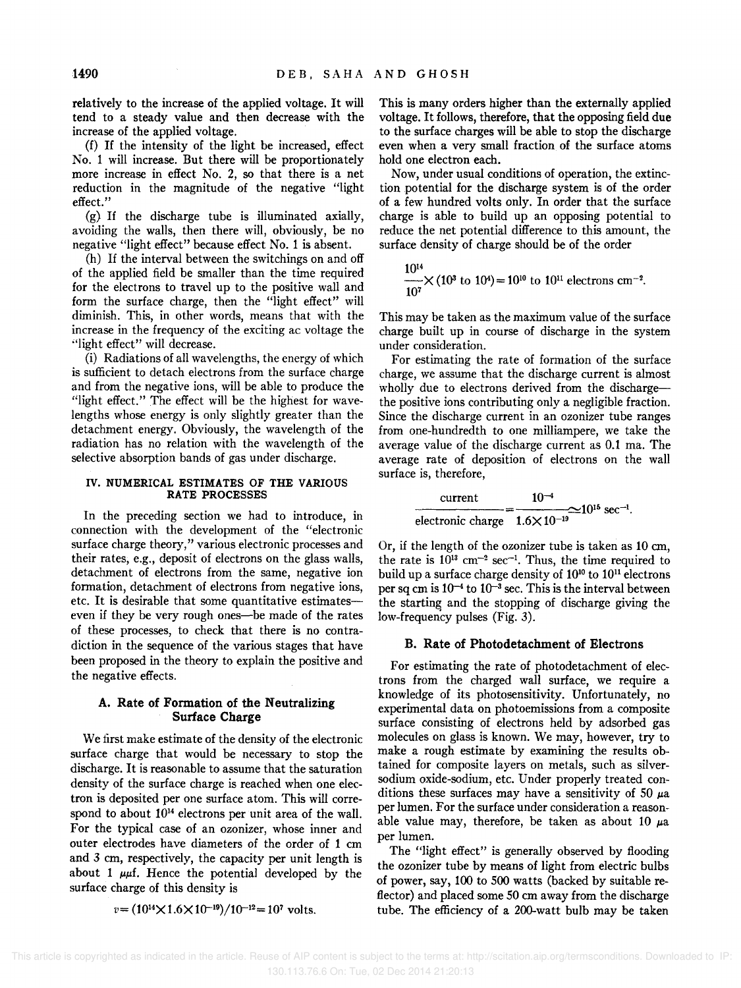relatively to the increase of the applied voltage. It will tend to a steady value and then decrease with the increase of the applied voltage.

(f) If the intensity of the light be increased, effect No.1 will increase. But there will be proportionately more increase in effect No.2, so that there is a net reduction in the magnitude of the negative "light effect."

(g) If the discharge tube is illuminated axially, avoiding the walls, then there will, obviously, be no negative "light effect" because effect No.1 is absent.

(h) If the interval between the switchings on and off of the applied field be smaller than the time required for the electrons to travel up to the positive wall and form the surface charge, then the "light effect" will diminish. This, in other words, means that with the increase in the frequency of the exciting ac voltage the "light effect" will decrease.

(i) Radiations of all wavelengths, the energy of which is sufficient to detach electrons from the surface charge and from the negative ions, will be able to produce the "light effect." The effect will be the highest for wavelengths whose energy is only slightly greater than the detachment energy. Obviously, the wavelength of the radiation has no relation with the wavelength of the selective absorption bands of gas under discharge.

### IV. NUMERICAL ESTIMATES OF THE VARIOUS RATE PROCESSES

In the preceding section we had to introduce, in connection with the development of the "electronic surface charge theory," various electronic processes and their rates, e.g., deposit of electrons on the glass walls, detachment of electrons from the same, negative ion formation, detachment of electrons from negative ions, etc. It is desirable that some quantitative estimateseven if they be very rough ones—be made of the rates of these processes, to check that there is no contradiction in the sequence of the various stages that have been proposed in the theory to explain the positive and the negative effects.

# A. Rate of Formation of the Neutralizing Surface Charge

We first make estimate of the density of the electronic surface charge that would be necessary to stop the discharge. It is reasonable to assume that the saturation density of the surface charge is reached when one electron is deposited per one surface atom. This will correspond to about 1014 electrons per unit area of the wall. For the typical case of an ozonizer, whose inner and outer electrodes have diameters of the order of 1 cm and 3 em, respectively, the capacity per unit length is about 1  $\mu\mu f$ . Hence the potential developed by the surface charge of this density is

$$
v = (10^{14} \times 1.6 \times 10^{-19})/10^{-12} = 10^7
$$
 volts.

This is many orders higher than the externally applied voltage. It follows, therefore, that the opposing field due to the surface charges will be able to stop the discharge even when a very small fraction of the surface atoms hold one electron each.

Now, under usual conditions of operation, the extinction potential for the discharge system is of the order of a few hundred volts only. In order that the surface charge is able to build up an opposing potential to reduce the net potential difference to this amount, the surface density of charge should be of the order

$$
\frac{10^{14}}{10^7}
$$
 × (10<sup>3</sup> to 10<sup>4</sup>) = 10<sup>10</sup> to 10<sup>11</sup> electrons cm<sup>-2</sup>.

This may be taken as the maximum value of the surface charge built up in course of discharge in the system under consideration.

For estimating the rate of formation of the surface charge, we assume that the discharge current is almost wholly due to electrons derived from the dischargethe positive ions contributing only a negligible fraction. Since the discharge current in an ozonizer tube ranges from one-hundredth to one milliampere, we take the average value of the discharge current as 0.1 ma. The average rate of deposition of electrons on the wall surface is, therefore,

$$
\frac{\text{current}}{\text{electronic charge}} = \frac{10^{-4}}{1.6 \times 10^{-19}} \approx 10^{15} \text{ sec}^{-1}.
$$

Or, if the length of the ozonizer tube is taken as 10 cm, the rate is  $10^{13}$  cm<sup>-2</sup> sec<sup>-1</sup>. Thus, the time required to build up a surface charge density of  $10^{10}$  to  $10^{11}$  electrons per sq cm is  $10^{-4}$  to  $10^{-3}$  sec. This is the interval between the starting and the stopping of discharge giving the low-frequency pulses (Fig. 3).

### B. Rate of Photodetachment of Electrons

For estimating the rate of photodetachment of electrons from the charged wall surface, we require a knowledge of its photosensitivity. Unfortunately, no experimental data on photoemissions from a composite surface consisting of electrons held by adsorbed gas molecules on glass is known. We may, however, try to make a rough estimate by examining the results obtained for composite layers on metals, such as silversodium oxide-sodium, etc. Under properly treated conditions these surfaces may have a sensitivity of 50  $\mu$ a per lumen. For the surface under consideration a reasonable value may, therefore, be taken as about 10  $\mu$ a per lumen.

The "light effect" is generally observed by flooding the ozonizer tube by means of light from electric bulbs of power, say, 100 to 500 watts (backed by suitable reflector) and placed some 50 cm away from the discharge tube. The efficiency of a 200-watt bulb may be taken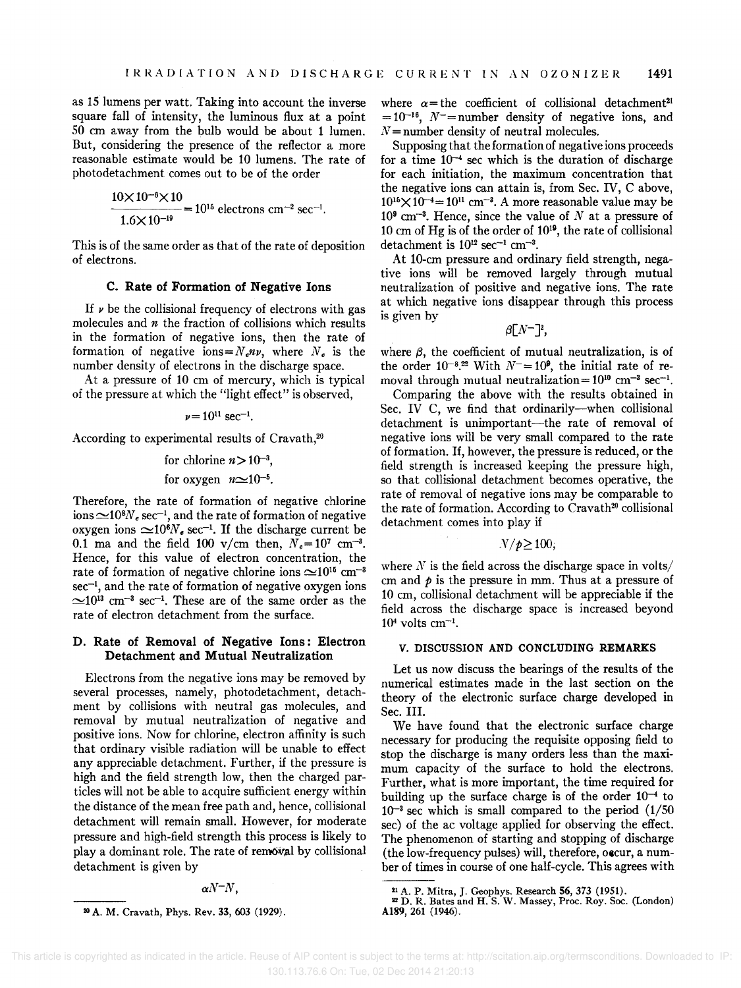as 15 lumens per watt. Taking into account the inverse square fall of intensity, the luminous flux at a point 50 em away from the bulb would be about 1 lumen. But, considering the presence of the reflector a more reasonable estimate would be 10 lumens. The rate of photodetachment comes out to be of the order

$$
\frac{10 \times 10^{-6} \times 10}{1.6 \times 10^{-19}} = 10^{16}
$$
 electrons cm<sup>-2</sup> sec<sup>-1</sup>.

This is of the same order as that of the rate of deposition of electrons.

## C. Rate of Formation of Negative Ions

If  $\nu$  be the collisional frequency of electrons with gas molecules and *n* the fraction of collisions which results in the formation of negative ions, then the rate of formation of negative ions= $N_e n v$ , where  $N_e$  is the number density of electrons in the discharge space.

At a pressure of 10 cm of mercury, which is typical of the pressure at which the "light effect" is observed,

 $\nu = 10^{11} \text{ sec}^{-1}$ .

According to experimental results of Cravath,<sup>20</sup>

for chlorine  $n>10^{-3}$ , for oxygen  $n \approx 10^{-5}$ .

Therefore, the rate of formation of negative chlorine sec<sup>-1</sup>, and the rate of formation of negative oxygen ions  $\approx 10^6 N_e$  sec<sup>-1</sup>. If the discharge current be 0.1 ma and the field 100 v/cm then,  $N_e = 10^7$  cm<sup>-3</sup>. Hence, for this value of electron concentration, the rate of formation of negative chlorine ions  $\approx 10^{15}$  cm<sup>-3</sup>  $sec^{-1}$ , and the rate of formation of negative oxygen ions  $\approx 10^{13}$  cm<sup>-3</sup> sec<sup>-1</sup>. These are of the same order as the rate of electron detachment from the surface.

# D. Rate of Removal of Negative Ions: Electron Detachment and Mutual Neutralization

Electrons from the negative ions may be removed by several processes, namely, photodetachment, detachment by collisions with neutral gas molecules, and removal by mutual neutralization of negative and positive ions. Now for chlorine, electron affinity is such that ordinary visible radiation will be unable to effect any appreciable detachment. Further, if the pressure is high and the field strength low, then the charged particles will not be able to acquire sufficient energy within the distance of the mean free path and, hence, collisional detachment will remain small. However, for moderate pressure and high-field strength this process is likely to play a dominant role. The rate of removal by collisional detachment is given by

### $\alpha N^{-}N$ .

<sup>20</sup>A. M. Cravath, Phys. Rev. 33, 603 (1929).

where  $\alpha$ = the coefficient of collisional detachment<sup>21</sup>  $= 10^{-16}$ , N<sup>-</sup>=number density of negative ions, and  $N$  = number density of neutral molecules.

Supposing that the formation of negative ions proceeds for a time  $10^{-4}$  sec which is the duration of discharge for each initiation, the maximum concentration that the negative ions can attain is, from Sec. IV, C above,  $10^{16} \times 10^{-4} = 10^{11}$  cm<sup>-3</sup>. A more reasonable value may be  $10<sup>9</sup>$  cm<sup>-3</sup>. Hence, since the value of N at a pressure of 10 cm of Hg is of the order of  $10^{19}$ , the rate of collisional detachment is  $10^{12}$  sec<sup>-1</sup> cm<sup>-3</sup>.

At lO-cm pressure and ordinary field strength, negative ions will be removed largely through mutual neutralization of positive and negative ions. The rate at which negative ions disappear through this process is given by

 $\beta \lbrack N^{-} \rbrack^{2}$ 

where  $\beta$ , the coefficient of mutual neutralization, is of the order  $10^{-8.22}$  With  $N^{-}=10^9$ , the initial rate of removal through mutual neutralization =  $10^{10}$  cm<sup>-3</sup> sec<sup>-1</sup>.

Comparing the above with the results obtained in Sec. IV C, we find that ordinarily-when collisional detachment is unimportant-the rate of removal of negative ions will be very small compared to the rate of formation. If, however, the pressure is reduced, or the field strength is increased keeping the pressure high, so that collisional detachment becomes operative, the rate of removal of negative ions may be comparable to the rate of formation. According to Cravath<sup>20</sup> collisional detachment comes into play if

$$
N/p\!\geq\!100,
$$

where  $N$  is the field across the discharge space in  $volts/$ cm and  $p$  is the pressure in mm. Thus at a pressure of 10 cm, collisional detachment will be appreciable if the field across the discharge space is increased beyond  $10<sup>4</sup>$  volts cm<sup>-1</sup>.

### V. DISCUSSION AND CONCLUDING REMARKS

Let us now discuss the bearings of the results of the numerical estimates made in the last section on the theory of the electronic surface charge developed in Sec. III.

We have found that the electronic surface charge necessary for producing the requisite opposing field to stop the discharge is many orders less than the maximum capacity of the surface to hold the electrons. Further, what is more important, the time required for building up the surface charge is of the order  $10^{-4}$  to  $10^{-3}$  sec which is small compared to the period  $(1/50$ sec) of the ac voltage applied for observing the effect. The phenomenon of starting and stopping of discharge (the low-frequency pulses) will, therefore, occur, a number of times in course of one half-cycle. This agrees with

<sup>&</sup>lt;sup>21</sup> A. P. Mitra, J. Geophys. Research 56, 373 (1951).<br><sup>22</sup> D. R. Bates and H. S. W. Massey, Proc. Roy. Soc. (London) A189,261 (1946).